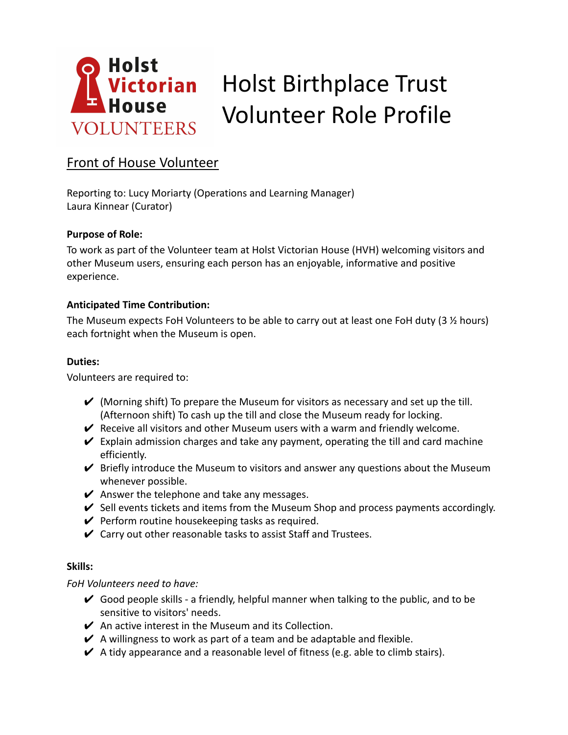

# Front of House Volunteer

Reporting to: Lucy Moriarty (Operations and Learning Manager) Laura Kinnear (Curator)

## **Purpose of Role:**

To work as part of the Volunteer team at Holst Victorian House (HVH) welcoming visitors and other Museum users, ensuring each person has an enjoyable, informative and positive experience.

## **Anticipated Time Contribution:**

The Museum expects FoH Volunteers to be able to carry out at least one FoH duty (3 ½ hours) each fortnight when the Museum is open.

#### **Duties:**

Volunteers are required to:

- $\vee$  (Morning shift) To prepare the Museum for visitors as necessary and set up the till. (Afternoon shift) To cash up the till and close the Museum ready for locking.
- $\vee$  Receive all visitors and other Museum users with a warm and friendly welcome.
- $\vee$  Explain admission charges and take any payment, operating the till and card machine efficiently.
- $\vee$  Briefly introduce the Museum to visitors and answer any questions about the Museum whenever possible.
- $\vee$  Answer the telephone and take any messages.
- $\checkmark$  Sell events tickets and items from the Museum Shop and process payments accordingly.
- $\vee$  Perform routine housekeeping tasks as required.
- $\vee$  Carry out other reasonable tasks to assist Staff and Trustees.

#### **Skills:**

*FoH Volunteers need to have:*

- $\checkmark$  Good people skills a friendly, helpful manner when talking to the public, and to be sensitive to visitors' needs.
- $\vee$  An active interest in the Museum and its Collection.
- $\vee$  A willingness to work as part of a team and be adaptable and flexible.
- $\vee$  A tidy appearance and a reasonable level of fitness (e.g. able to climb stairs).